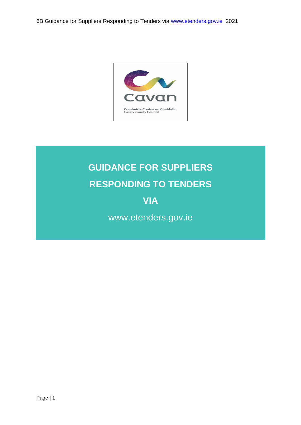

# **GUIDANCE FOR SUPPLIERS RESPONDING TO TENDERS**

# **VIA**

www.etenders.gov.ie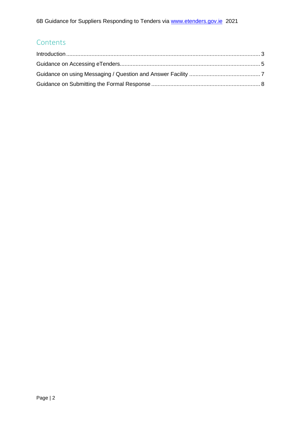# **Contents**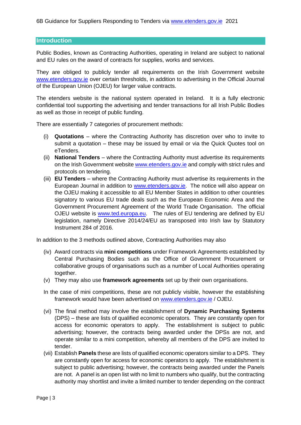#### <span id="page-2-0"></span>**Introduction**

Public Bodies, known as Contracting Authorities, operating in Ireland are subject to national and EU rules on the award of contracts for supplies, works and services.

They are obliged to publicly tender all requirements on the Irish Government website [www.etenders.gov.ie](http://www.etenders.gov.ie/) over certain thresholds, in addition to advertising in the Official Journal of the European Union (OJEU) for larger value contracts.

The etenders website is the national system operated in Ireland. It is a fully electronic confidential tool supporting the advertising and tender transactions for all Irish Public Bodies as well as those in receipt of public funding.

There are essentially 7 categories of procurement methods:

- (i) **Quotations** where the Contracting Authority has discretion over who to invite to submit a quotation – these may be issued by email or via the Quick Quotes tool on eTenders.
- (ii) **National Tenders** where the Contracting Authority must advertise its requirements on the Irish Government website [www.etenders.gov.ie](http://www.etenders.gov.ie/) and comply with strict rules and protocols on tendering.
- (iii) **EU Tenders** where the Contracting Authority must advertise its requirements in the European Journal in addition to [www.etenders.gov.ie.](http://www.etenders.gov.ie/) The notice will also appear on the OJEU making it accessible to all EU Member States in addition to other countries signatory to various EU trade deals such as the European Economic Area and the Government Procurement Agreement of the World Trade Organisation. The official OJEU website is [www.ted.europa.eu.](http://www.ted.europa.eu/) The rules of EU tendering are defined by EU legislation, namely Directive 2014/24/EU as transposed into Irish law by Statutory Instrument 284 of 2016.

In addition to the 3 methods outlined above, Contracting Authorities may also

- (iv) Award contracts via **mini competitions** under Framework Agreements established by Central Purchasing Bodies such as the Office of Government Procurement or collaborative groups of organisations such as a number of Local Authorities operating together.
- (v) They may also use **framework agreements** set up by their own organisations.
- In the case of mini competitions, these are not publicly visible, however the establishing framework would have been advertised on [www.etenders.gov.ie](http://www.etenders.gov.ie/) / OJEU.
- (vi) The final method may involve the establishment of **Dynamic Purchasing Systems** (DPS) – these are lists of qualified economic operators. They are constantly open for access for economic operators to apply. The establishment is subject to public advertising; however, the contracts being awarded under the DPSs are not, and operate similar to a mini competition, whereby all members of the DPS are invited to tender.
- (vii) Establish **Panels** these are lists of qualified economic operators similar to a DPS. They are constantly open for access for economic operators to apply. The establishment is subject to public advertising; however, the contracts being awarded under the Panels are not. A panel is an open list with no limit to numbers who qualify, but the contracting authority may shortlist and invite a limited number to tender depending on the contract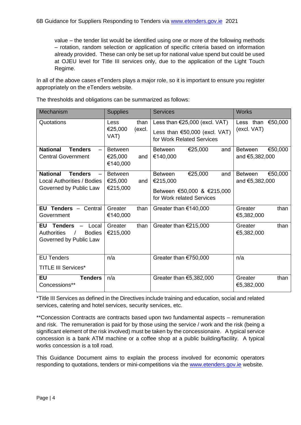value – the tender list would be identified using one or more of the following methods – rotation, random selection or application of specific criteria based on information already provided. These can only be set up for national value spend but could be used at OJEU level for Title III services only, due to the application of the Light Touch Regime.

In all of the above cases eTenders plays a major role, so it is important to ensure you register appropriately on the eTenders website.

| Mechanism                                                                                        | <b>Supplies</b>                       |                | <b>Services</b>                                                                                         | <b>Works</b>                                |
|--------------------------------------------------------------------------------------------------|---------------------------------------|----------------|---------------------------------------------------------------------------------------------------------|---------------------------------------------|
| Quotations                                                                                       | <b>Less</b><br>€25,000<br>VAT)        | than<br>(excl. | Less than $\epsilon$ 25,000 (excl. VAT)<br>Less than $€50,000$ (excl. VAT)<br>for Work Related Services | Less than $€50,000$<br>(excl. VAT)          |
| <b>National</b><br><b>Tenders</b><br><b>Central Government</b>                                   | <b>Between</b><br>€25,000<br>€140,000 | and            | €25,000<br><b>Between</b><br>and<br>€140,000                                                            | €50,000<br><b>Between</b><br>and €5,382,000 |
| <b>National</b><br><b>Tenders</b><br><b>Local Authorities / Bodies</b><br>Governed by Public Law | <b>Between</b><br>€25,000<br>€215,000 | and            | €25,000<br><b>Between</b><br>and<br>€215,000<br>Between €50,000 & €215,000<br>for Work related Services | €50,000<br><b>Between</b><br>and €5,382,000 |
| EU Tenders $-$<br>Central<br>Government                                                          | Greater<br>€140,000                   | than           | Greater than €140,000                                                                                   | than<br>Greater<br>€5,382,000               |
| EU<br><b>Tenders</b><br>Local<br><b>Authorities</b><br><b>Bodies</b><br>Governed by Public Law   | Greater<br>€215,000                   | than           | Greater than $€215,000$                                                                                 | than<br>Greater<br>€5,382,000               |
| <b>EU Tenders</b><br><b>TITLE III Services*</b>                                                  | n/a                                   |                | Greater than €750,000                                                                                   | n/a                                         |
| <b>EU</b><br><b>Tenders</b><br>Concessions**                                                     | n/a                                   |                | Greater than $€5,382,000$                                                                               | Greater<br>than<br>€5,382,000               |

The thresholds and obligations can be summarized as follows:

\*Title III Services as defined in the Directives include training and education, social and related services, catering and hotel services, security services, etc.

\*\*Concession Contracts are contracts based upon two fundamental aspects – remuneration and risk. The remuneration is paid for by those using the service / work and the risk (being a significant element of the risk involved) must be taken by the concessionaire. A typical service concession is a bank ATM machine or a coffee shop at a public building/facility. A typical works concession is a toll road.

This Guidance Document aims to explain the process involved for economic operators responding to quotations, tenders or mini-competitions via the [www.etenders.gov.ie](http://www.etenders.gov.ie/) website.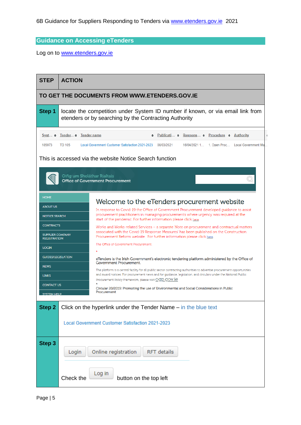### <span id="page-4-0"></span>**Guidance on Accessing eTenders**

Log on to [www.etenders.gov.ie](http://www.etenders.gov.ie/)

| <b>STEP</b>                                                        | <b>ACTION</b>                                                                                                                                                                                                                                                                     |                                                                                                                                                                                                                                                                                                                                     |  |  |  |
|--------------------------------------------------------------------|-----------------------------------------------------------------------------------------------------------------------------------------------------------------------------------------------------------------------------------------------------------------------------------|-------------------------------------------------------------------------------------------------------------------------------------------------------------------------------------------------------------------------------------------------------------------------------------------------------------------------------------|--|--|--|
|                                                                    |                                                                                                                                                                                                                                                                                   | TO GET THE DOCUMENTS FROM WWW.ETENDERS.GOV.IE                                                                                                                                                                                                                                                                                       |  |  |  |
| Step 1                                                             | locate the competition under System ID number if known, or via email link from<br>etenders or by searching by the Contracting Authority                                                                                                                                           |                                                                                                                                                                                                                                                                                                                                     |  |  |  |
| 185973                                                             | $System \leftrightarrow Tender \leftrightarrow Tender name$<br>Publicati $\div$ Respons $\div$ Procedure $\div$<br><b>Authority</b><br><b>TD 105</b><br>Local Government Customer Satisfaction 2021-2023<br>08/03/2021<br>16/04/2021 1 1. Open Proc<br><b>Local Government Ma</b> |                                                                                                                                                                                                                                                                                                                                     |  |  |  |
|                                                                    | Oifig um Sholáthar Rialtais                                                                                                                                                                                                                                                       | This is accessed via the website Notice Search function<br><b>Office of Government Procurement</b>                                                                                                                                                                                                                                  |  |  |  |
| <b>HOME</b><br><b>ABOUT US</b>                                     |                                                                                                                                                                                                                                                                                   | Welcome to the eTenders procurement website                                                                                                                                                                                                                                                                                         |  |  |  |
| NOTICE SEARCH                                                      |                                                                                                                                                                                                                                                                                   | In response to Covid-19 the Office of Government Procurement developed guidance to assist<br>procurement practitioners in managing procurements where urgency was required at the                                                                                                                                                   |  |  |  |
| <b>CONTRACTS</b><br><b>SUPPLIER COMPANY</b><br><b>REGISTRATION</b> |                                                                                                                                                                                                                                                                                   | start of the pandemic. For further information please click here.<br>Works and Works-related Services – a separate 'Note on procurement and contractual matters<br>associated with the Covid-19 Response Measures' has been published on the Construction<br>Procurement Reform website. For further information please click here. |  |  |  |
| <b>LOGIN</b>                                                       |                                                                                                                                                                                                                                                                                   | The Office of Government Procurement.                                                                                                                                                                                                                                                                                               |  |  |  |
| <b>GUIDES/LEGISLATION</b>                                          |                                                                                                                                                                                                                                                                                   | eTenders is the Irish Government's electronic tendering platform administered by the Office of<br><b>Government Procurement.</b>                                                                                                                                                                                                    |  |  |  |
| <b>NEWS</b>                                                        | The platform is a central facility for all public sector contracting authorities to advertise procurement opportunities                                                                                                                                                           |                                                                                                                                                                                                                                                                                                                                     |  |  |  |
| <b>LINKS</b><br><b>CONTACT US</b>                                  |                                                                                                                                                                                                                                                                                   | and award notices. For procurement news and for guidance, legislation, and circulars under the National Public<br>Procurement Policy Framework, please visit OGD.GOV.1e                                                                                                                                                             |  |  |  |
| <b>SYSTEM HELP</b>                                                 |                                                                                                                                                                                                                                                                                   | Circular 20/2019: Promoting the use of Environmental and Social Considerations in Public<br>Procurement                                                                                                                                                                                                                             |  |  |  |
| <b>Step 2</b>                                                      |                                                                                                                                                                                                                                                                                   | Click on the hyperlink under the Tender Name – in the blue text<br>Local Government Customer Satisfaction 2021-2023                                                                                                                                                                                                                 |  |  |  |
|                                                                    |                                                                                                                                                                                                                                                                                   |                                                                                                                                                                                                                                                                                                                                     |  |  |  |
| Step 3                                                             | Login                                                                                                                                                                                                                                                                             | Online registration<br><b>RFT</b> details                                                                                                                                                                                                                                                                                           |  |  |  |
|                                                                    | Check the                                                                                                                                                                                                                                                                         | Log in<br>button on the top left                                                                                                                                                                                                                                                                                                    |  |  |  |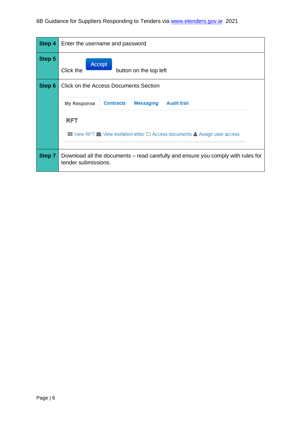| Step 4 | Enter the username and password                                                                                                                |
|--------|------------------------------------------------------------------------------------------------------------------------------------------------|
| Step 5 | Accept<br>Click the<br>button on the top left                                                                                                  |
| Step 6 | <b>Click on the Access Documents Section</b><br><b>Contracts</b><br><b>Messaging</b><br><b>Audit trail</b><br><b>My Response</b><br><b>RFT</b> |
|        | <b>III</b> View RFT $\geq$ View invitation letter $\Box$ Access documents $\triangle$ Assign user access                                       |
| Step 7 | Download all the documents – read carefully and ensure you comply with rules for<br>tender submissions.                                        |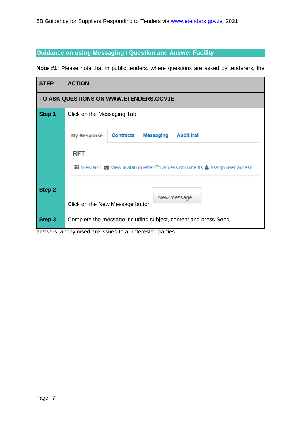#### <span id="page-6-0"></span>**Guidance on using Messaging / Question and Answer Facility**

**Note #1:** Please note that in public tenders, where questions are asked by tenderers, the

| <b>STEP</b>   | <b>ACTION</b>                                                                                                                                                                                                        |  |  |  |
|---------------|----------------------------------------------------------------------------------------------------------------------------------------------------------------------------------------------------------------------|--|--|--|
|               | TO ASK QUESTIONS ON WWW.ETENDERS.GOV.IE                                                                                                                                                                              |  |  |  |
| Step 1        | Click on the Messaging Tab                                                                                                                                                                                           |  |  |  |
|               | <b>Contracts</b><br><b>Messaging</b><br><b>Audit trail</b><br><b>My Response</b><br><b>RFT</b><br>$\mathbf{H}$ View RFT $\blacktriangleright$ View invitation letter $\square$ Access documents & Assign user access |  |  |  |
| <b>Step 2</b> | New message.<br>Click on the New Message button                                                                                                                                                                      |  |  |  |
| Step 3        | Complete the message including subject, content and press Send.                                                                                                                                                      |  |  |  |

answers, anonymised are issued to all interested parties.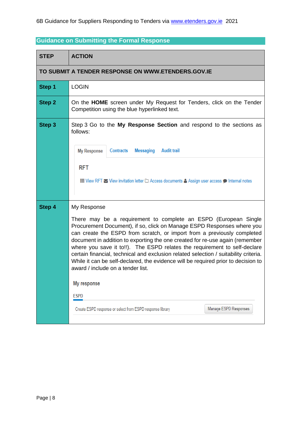## <span id="page-7-0"></span>**Guidance on Submitting the Formal Response**

| <b>STEP</b>   | <b>ACTION</b>                                                                                                                                                                                                                                                                                                                                                                                                                                                                                                                                                                                                                                                                                                                          |
|---------------|----------------------------------------------------------------------------------------------------------------------------------------------------------------------------------------------------------------------------------------------------------------------------------------------------------------------------------------------------------------------------------------------------------------------------------------------------------------------------------------------------------------------------------------------------------------------------------------------------------------------------------------------------------------------------------------------------------------------------------------|
|               | TO SUBMIT A TENDER RESPONSE ON WWW.ETENDERS.GOV.IE                                                                                                                                                                                                                                                                                                                                                                                                                                                                                                                                                                                                                                                                                     |
| Step 1        | <b>LOGIN</b>                                                                                                                                                                                                                                                                                                                                                                                                                                                                                                                                                                                                                                                                                                                           |
| <b>Step 2</b> | On the HOME screen under My Request for Tenders, click on the Tender<br>Competition using the blue hyperlinked text.                                                                                                                                                                                                                                                                                                                                                                                                                                                                                                                                                                                                                   |
| Step 3        | Step 3 Go to the My Response Section and respond to the sections as<br>follows:<br><b>My Response</b><br><b>Messaging</b><br><b>Audit trail</b><br>Contracts                                                                                                                                                                                                                                                                                                                                                                                                                                                                                                                                                                           |
|               | <b>RFT</b><br>III View RFT ≥ View invitation letter □ Access documents & Assign user access ● Internal notes                                                                                                                                                                                                                                                                                                                                                                                                                                                                                                                                                                                                                           |
| Step 4        | My Response<br>There may be a requirement to complete an ESPD (European Single<br>Procurement Document), if so, click on Manage ESPD Responses where you<br>can create the ESPD from scratch, or import from a previously completed<br>document in addition to exporting the one created for re-use again (remember<br>where you save it to!!). The ESPD relates the requirement to self-declare<br>certain financial, technical and exclusion related selection / suitability criteria.<br>While it can be self-declared, the evidence will be required prior to decision to<br>award / include on a tender list.<br>My response<br><b>ESPD</b><br>Manage ESPD Responses<br>Create ESPD response or select from ESPD response library |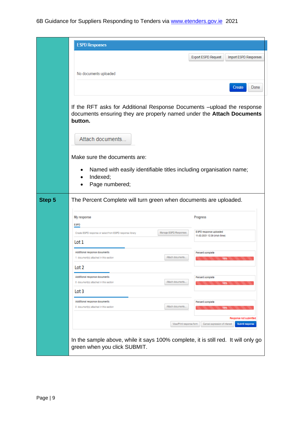|        | <b>ESPD Responses</b>                                                                                                                                      |
|--------|------------------------------------------------------------------------------------------------------------------------------------------------------------|
|        | <b>Export ESPD Request</b><br>Import ESPD Responses                                                                                                        |
|        | No documents uploaded                                                                                                                                      |
|        | Create<br>Done                                                                                                                                             |
|        |                                                                                                                                                            |
|        | If the RFT asks for Additional Response Documents -upload the response<br>documents ensuring they are properly named under the Attach Documents<br>button. |
|        | Attach documents                                                                                                                                           |
|        | Make sure the documents are:                                                                                                                               |
|        | Named with easily identifiable titles including organisation name;<br>$\bullet$<br>Indexed;<br>$\bullet$<br>Page numbered;                                 |
| Step 5 | The Percent Complete will turn green when documents are uploaded.                                                                                          |
|        | My response<br>Progress<br>E <sub>8PD</sub>                                                                                                                |
|        | E 8PD response uploaded<br>Manage ESPD Responses<br>Create ESPD response or select from ESPD response library<br>11-02-2021 12:38 (Irich time)             |
|        | Lot 1                                                                                                                                                      |
|        | Additional response documents<br>Percent complete<br>Attach documents<br>1 document(s) attached in this section                                            |
|        | Lot 2<br>Additional response documents                                                                                                                     |
|        | Percent complete<br>Attach documents<br>0 document(s) attached in this section<br>100%                                                                     |
|        | Lot 3<br>Additional response documents<br>Percent complete                                                                                                 |
|        | Attach documents<br>0 document(s) attached in this section<br>100%                                                                                         |
|        | Response not submitted<br>View/Print response form<br>Cancel expression of interest<br>Submit response                                                     |
|        | In the sample above, while it says 100% complete, it is still red. It will only go<br>green when you click SUBMIT.                                         |